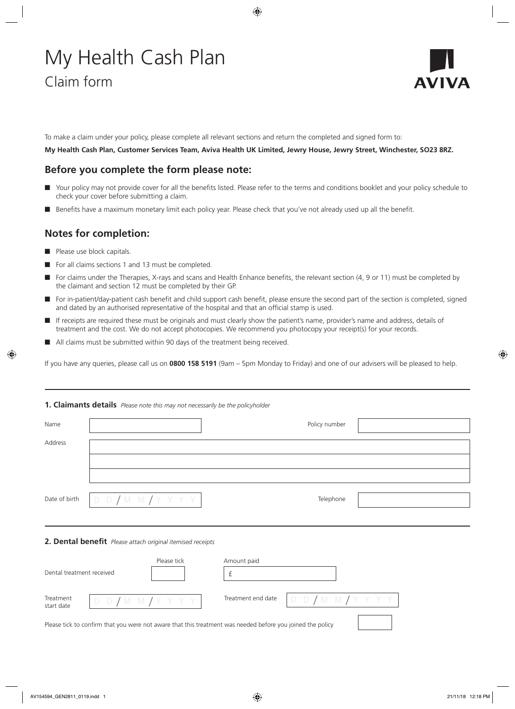# My Health Cash Plan Claim form



To make a claim under your policy, please complete all relevant sections and return the completed and signed form to:

**My Health Cash Plan, Customer Services Team, Aviva Health UK Limited, Jewry House, Jewry Street, Winchester, SO23 8RZ.**

# **Before you complete the form please note:**

- Your policy may not provide cover for all the benefits listed. Please refer to the terms and conditions booklet and your policy schedule to check your cover before submitting a claim.
- n Benefits have a maximum monetary limit each policy year. Please check that you've not already used up all the benefit.

# **Notes for completion:**

- Please use block capitals.
- For all claims sections 1 and 13 must be completed.
- n For claims under the Therapies, X-rays and scans and Health Enhance benefits, the relevant section (4, 9 or 11) must be completed by the claimant and section 12 must be completed by their GP.
- n For in-patient/day-patient cash benefit and child support cash benefit, please ensure the second part of the section is completed, signed and dated by an authorised representative of the hospital and that an official stamp is used.
- If receipts are required these must be originals and must clearly show the patient's name, provider's name and address, details of treatment and the cost. We do not accept photocopies. We recommend you photocopy your receipt(s) for your records.
- All claims must be submitted within 90 days of the treatment being received.

If you have any queries, please call us on **0800 158 5191** (9am – 5pm Monday to Friday) and one of our advisers will be pleased to help.

# **1. Claimants details** *Please note this may not necessarily be the policyholder* Name Policy number and the extent of the extent of the extent of the extent of the Policy number of the extent of the extent of the extent of the extent of the extent of the extent of the extent of the extent of the extent Address Date of birth  $\begin{array}{|c|c|c|c|c|}\n\hline\nD & D & M & M & Y & Y & Y & \end{array}$ **2. Dental benefit** *Please attach original itemised receipts*

|                           |                     | Please tick | Amount paid                                                                                                |            |  |
|---------------------------|---------------------|-------------|------------------------------------------------------------------------------------------------------------|------------|--|
| Dental treatment received |                     |             |                                                                                                            |            |  |
| Treatment<br>start date   | D D / M M / Y Y Y Y |             | Treatment end date                                                                                         | DD/MM/YYYY |  |
|                           |                     |             | Please tick to confirm that you were not aware that this treatment was needed before you joined the policy |            |  |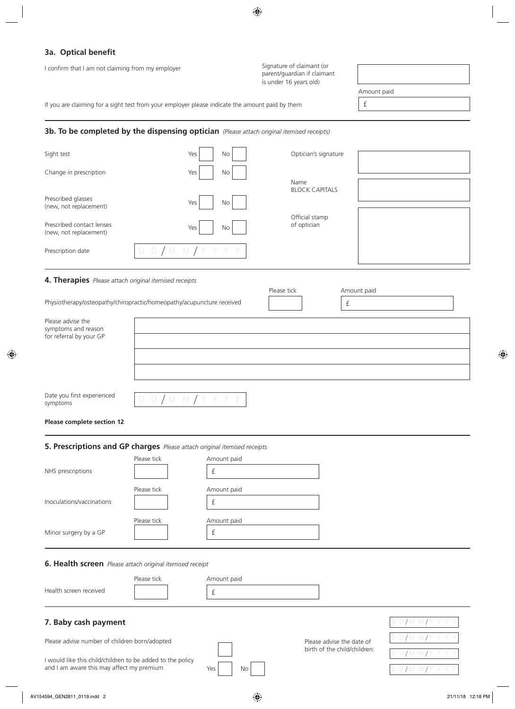# **3a. Optical benefit**

I confirm that I am not claiming from my employer

Signature of claimant (or parent/guardian if claimant is under 16 years old)

If you are claiming for a sight test from your employer please indicate the amount paid by them

#### **3b. To be completed by the dispensing optician** *(Please attach original itemised receipts)*

| Sight test                                          | Yes<br>No           | Optician's signature          |  |
|-----------------------------------------------------|---------------------|-------------------------------|--|
| Change in prescription                              | No<br>Yes           | Name                          |  |
| Prescribed glasses<br>(new, not replacement)        | Yes<br>No           | <b>BLOCK CAPITALS</b>         |  |
| Prescribed contact lenses<br>(new, not replacement) | Yes<br>No           | Official stamp<br>of optician |  |
| Prescription date                                   | D D / M M / Y Y Y Y |                               |  |

#### **4. Therapies** *Please attach original itemised receipts*

|                                                                       |  | TICUJC LICK | <i>I and any paid</i> |  |
|-----------------------------------------------------------------------|--|-------------|-----------------------|--|
| Physiotherapy/osteopathy/chiropractic/homeopathy/acupuncture received |  |             |                       |  |
| Please advise the<br>symptoms and reason                              |  |             |                       |  |
| for referral by your GP                                               |  |             |                       |  |
|                                                                       |  |             |                       |  |

Date you first experienced symptoms

|--|--|--|--|--|--|--|--|--|--|

**Please complete section 12**

#### **5. Prescriptions and GP charges** *Please attach original itemised receipts*

|                                                                                    | Please tick | Amount paid      |                              |                 |
|------------------------------------------------------------------------------------|-------------|------------------|------------------------------|-----------------|
| NHS prescriptions                                                                  |             | £                |                              |                 |
|                                                                                    | Please tick | Amount paid      |                              |                 |
| Inoculations/vaccinations                                                          |             | £                |                              |                 |
|                                                                                    | Please tick | Amount paid      |                              |                 |
| Minor surgery by a GP                                                              |             | £                |                              |                 |
| 6. Health screen Please attach original itemised receipt<br>Health screen received | Please tick | Amount paid<br>£ |                              |                 |
| 7. Baby cash payment                                                               |             |                  |                              | D D/M M/Y Y Y Y |
| Please advise number of children born/adopted                                      |             |                  | Please advise the date of    | DD/MM/YYYY      |
| I would like this child/children to be added to the policy                         |             |                  | birth of the child/children: | D D/M M/Y Y Y Y |
| and I am aware this may affect my premium                                          |             | No<br>Yes        |                              | D D/M M/Y Y Y Y |

£ Amount paid

Please tick **Amount paid**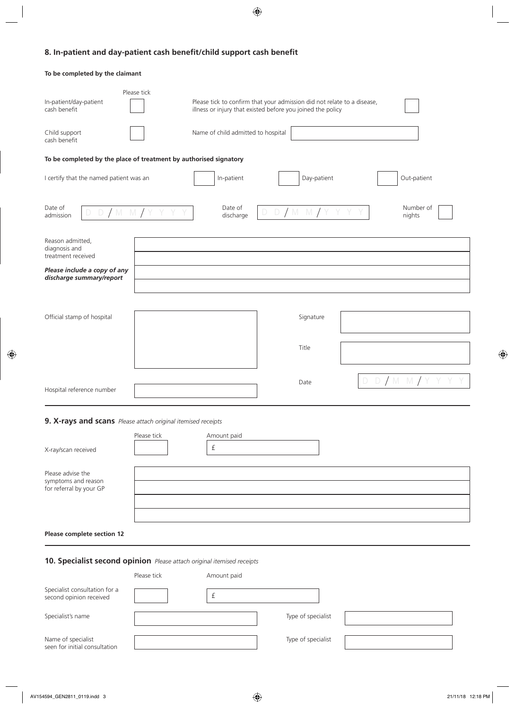# **8. In-patient and day-patient cash benefit/child support cash benefit**

#### **To be completed by the claimant**

| In-patient/day-patient<br>cash benefit                            | Please tick | illness or injury that existed before you joined the policy |                | Please tick to confirm that your admission did not relate to a disease, |                     |
|-------------------------------------------------------------------|-------------|-------------------------------------------------------------|----------------|-------------------------------------------------------------------------|---------------------|
| Child support<br>cash benefit                                     |             | Name of child admitted to hospital                          |                |                                                                         |                     |
| To be completed by the place of treatment by authorised signatory |             |                                                             |                |                                                                         |                     |
| I certify that the named patient was an                           |             | In-patient                                                  |                | Day-patient                                                             | Out-patient         |
| Date of<br>$D/M$ $M/Y$<br>D<br>admission                          |             | Date of<br>discharge                                        | D/M M/Y Y<br>D |                                                                         | Number of<br>nights |
| Reason admitted,<br>diagnosis and<br>treatment received           |             |                                                             |                |                                                                         |                     |
| Please include a copy of any<br>discharge summary/report          |             |                                                             |                |                                                                         |                     |
| Official stamp of hospital                                        |             |                                                             |                | Signature                                                               |                     |
|                                                                   |             |                                                             | Title          |                                                                         |                     |
| Hospital reference number                                         |             |                                                             | Date           |                                                                         | D D/M M/            |

# **9. X-rays and scans** *Please attach original itemised receipts*

| X-ray/scan received                                                 | Please tick | Amount paid |  |
|---------------------------------------------------------------------|-------------|-------------|--|
| Please advise the<br>symptoms and reason<br>for referral by your GP |             |             |  |
|                                                                     |             |             |  |

**Please complete section 12**

# **10. Specialist second opinion** *Please attach original itemised receipts*

|                                                          | Please tick | Amount paid |                    |  |
|----------------------------------------------------------|-------------|-------------|--------------------|--|
| Specialist consultation for a<br>second opinion received |             |             |                    |  |
| Specialist's name                                        |             |             | Type of specialist |  |
| Name of specialist<br>seen for initial consultation      |             |             | Type of specialist |  |